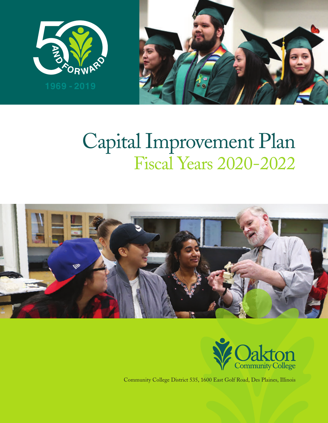



# Capital Improvement Plan Fiscal Years 2020-2022





Community College District 535, 1600 East Golf Road, Des Plaines, Illinois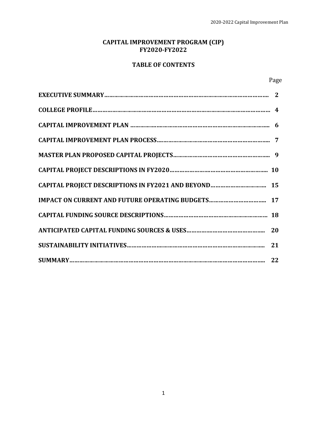## **CAPITAL IMPROVEMENT PROGRAM (CIP) FY2020-FY2022**

## **TABLE OF CONTENTS**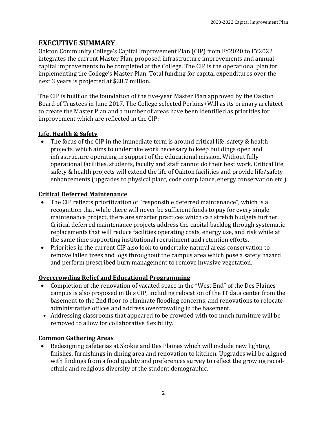## **EXECUTIVE SUMMARY**

Oakton Community College's Capital Improvement Plan (CIP) from FY2020 to FY2022 integrates the current Master Plan, proposed infrastructure improvements and annual capital improvements to be completed at the College. The CIP is the operational plan for implementing the College's Master Plan. Total funding for capital expenditures over the next 3 years is projected at \$28.7 million.

The CIP is built on the foundation of the five-year Master Plan approved by the Oakton Board of Trustees in June 2017. The College selected Perkins+Will as its primary architect to create the Master Plan and a number of areas have been identified as priorities for improvement which are reflected in the CIP:

## **Life, Health & Safety**

• The focus of the CIP in the immediate term is around critical life, safety & health projects, which aims to undertake work necessary to keep buildings open and infrastructure operating in support of the educational mission. Without fully operational facilities, students, faculty and staff cannot do their best work. Critical life, safety & health projects will extend the life of Oakton facilities and provide life/safety enhancements (upgrades to physical plant, code compliance, energy conservation etc.).

## **Critical Deferred Maintenance**

- The CIP reflects prioritization of "responsible deferred maintenance", which is a recognition that while there will never be sufficient funds to pay for every single maintenance project, there are smarter practices which can stretch budgets further. Critical deferred maintenance projects address the capital backlog through systematic replacements that will reduce facilities operating costs, energy use, and risk while at the same time supporting institutional recruitment and retention efforts.
- Priorities in the current CIP also look to undertake natural areas conservation to remove fallen trees and logs throughout the campus area which pose a safety hazard and perform prescribed burn management to remove invasive vegetation.

#### **Overcrowding Relief and Educational Programming**

- Completion of the renovation of vacated space in the "West End" of the Des Plaines campus is also proposed in this CIP, including relocation of the IT data center from the basement to the 2nd floor to eliminate flooding concerns, and renovations to relocate administrative offices and address overcrowding in the basement.
- Addressing classrooms that appeared to be crowded with too much furniture will be removed to allow for collaborative flexibility.

#### **Common Gathering Areas**

• Redesigning cafeterias at Skokie and Des Plaines which will include new lighting, finishes, furnishings in dining area and renovation to kitchen. Upgrades will be aligned with findings from a food quality and preferences survey to reflect the growing racialethnic and religious diversity of the student demographic.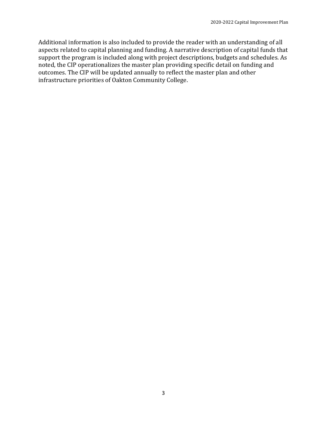Additional information is also included to provide the reader with an understanding of all aspects related to capital planning and funding. A narrative description of capital funds that support the program is included along with project descriptions, budgets and schedules. As noted, the CIP operationalizes the master plan providing specific detail on funding and outcomes. The CIP will be updated annually to reflect the master plan and other infrastructure priorities of Oakton Community College.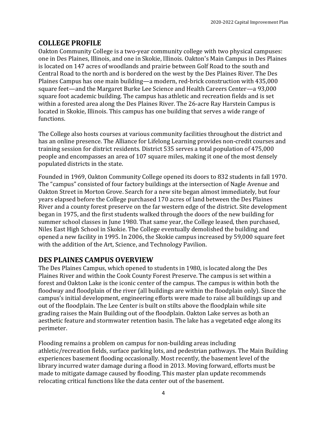# **COLLEGE PROFILE**

Oakton Community College is a two-year community college with two physical campuses: one in Des Plaines, Illinois, and one in Skokie, Illinois. Oakton's Main Campus in Des Plaines is located on 147 acres of woodlands and prairie between Golf Road to the south and Central Road to the north and is bordered on the west by the Des Plaines River. The Des Plaines Campus has one main building—a modern, red-brick construction with 435,000 square feet—and the Margaret Burke Lee Science and Health Careers Center—a 93,000 square foot academic building. The campus has athletic and recreation fields and is set within a forested area along the Des Plaines River. The 26-acre Ray Harstein Campus is located in Skokie, Illinois. This campus has one building that serves a wide range of functions.

The College also hosts courses at various community facilities throughout the district and has an online presence. The Alliance for Lifelong Learning provides non-credit courses and training session for district residents. District 535 serves a total population of 475,000 people and encompasses an area of 107 square miles, making it one of the most densely populated districts in the state.

Founded in 1969, Oakton Community College opened its doors to 832 students in fall 1970. The "campus" consisted of four factory buildings at the intersection of Nagle Avenue and Oakton Street in Morton Grove. Search for a new site began almost immediately, but four years elapsed before the College purchased 170 acres of land between the Des Plaines River and a county forest preserve on the far western edge of the district. Site development began in 1975, and the first students walked through the doors of the new building for summer school classes in June 1980. That same year, the College leased, then purchased, Niles East High School in Skokie. The College eventually demolished the building and opened a new facility in 1995. In 2006, the Skokie campus increased by 59,000 square feet with the addition of the Art, Science, and Technology Pavilion.

## **DES PLAINES CAMPUS OVERVIEW**

The Des Plaines Campus, which opened to students in 1980, is located along the Des Plaines River and within the Cook County Forest Preserve. The campus is set within a forest and Oakton Lake is the iconic center of the campus. The campus is within both the floodway and floodplain of the river (all buildings are within the floodplain only). Since the campus's initial development, engineering efforts were made to raise all buildings up and out of the floodplain. The Lee Center is built on stilts above the floodplain while site grading raises the Main Building out of the floodplain. Oakton Lake serves as both an aesthetic feature and stormwater retention basin. The lake has a vegetated edge along its perimeter.

Flooding remains a problem on campus for non-building areas including athletic/recreation fields, surface parking lots, and pedestrian pathways. The Main Building experiences basement flooding occasionally. Most recently, the basement level of the library incurred water damage during a flood in 2013. Moving forward, efforts must be made to mitigate damage caused by flooding. This master plan update recommends relocating critical functions like the data center out of the basement.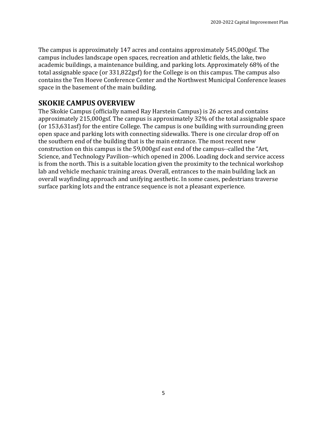The campus is approximately 147 acres and contains approximately 545,000gsf. The campus includes landscape open spaces, recreation and athletic fields, the lake, two academic buildings, a maintenance building, and parking lots. Approximately 68% of the total assignable space (or 331,822gsf) for the College is on this campus. The campus also contains the Ten Hoeve Conference Center and the Northwest Municipal Conference leases space in the basement of the main building.

# **SKOKIE CAMPUS OVERVIEW**

The Skokie Campus (officially named Ray Harstein Campus) is 26 acres and contains approximately 215,000gsf. The campus is approximately 32% of the total assignable space (or 153,631asf) for the entire College. The campus is one building with surrounding green open space and parking lots with connecting sidewalks. There is one circular drop off on the southern end of the building that is the main entrance. The most recent new construction on this campus is the 59,000gsf east end of the campus--called the "Art, Science, and Technology Pavilion--which opened in 2006. Loading dock and service access is from the north. This is a suitable location given the proximity to the technical workshop lab and vehicle mechanic training areas. Overall, entrances to the main building lack an overall wayfinding approach and unifying aesthetic. In some cases, pedestrians traverse surface parking lots and the entrance sequence is not a pleasant experience.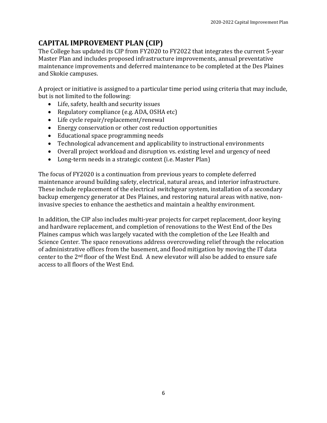# **CAPITAL IMPROVEMENT PLAN (CIP)**

The College has updated its CIP from FY2020 to FY2022 that integrates the current 5-year Master Plan and includes proposed infrastructure improvements, annual preventative maintenance improvements and deferred maintenance to be completed at the Des Plaines and Skokie campuses.

A project or initiative is assigned to a particular time period using criteria that may include, but is not limited to the following:

- Life, safety, health and security issues
- Regulatory compliance (e.g. ADA, OSHA etc)
- Life cycle repair/replacement/renewal
- Energy conservation or other cost reduction opportunities
- Educational space programming needs
- Technological advancement and applicability to instructional environments
- Overall project workload and disruption vs. existing level and urgency of need
- Long-term needs in a strategic context (i.e. Master Plan)

The focus of FY2020 is a continuation from previous years to complete deferred maintenance around building safety, electrical, natural areas, and interior infrastructure. These include replacement of the electrical switchgear system, installation of a secondary backup emergency generator at Des Plaines, and restoring natural areas with native, noninvasive species to enhance the aesthetics and maintain a healthy environment.

In addition, the CIP also includes multi-year projects for carpet replacement, door keying and hardware replacement, and completion of renovations to the West End of the Des Plaines campus which was largely vacated with the completion of the Lee Health and Science Center. The space renovations address overcrowding relief through the relocation of administrative offices from the basement, and flood mitigation by moving the IT data center to the  $2<sup>nd</sup>$  floor of the West End. A new elevator will also be added to ensure safe access to all floors of the West End.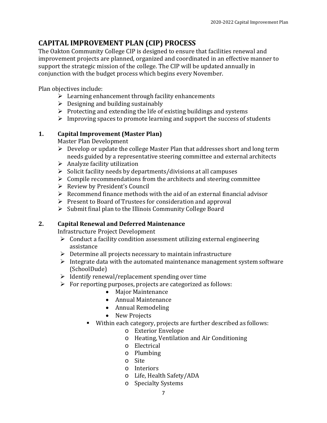# **CAPITAL IMPROVEMENT PLAN (CIP) PROCESS**

The Oakton Community College CIP is designed to ensure that facilities renewal and improvement projects are planned, organized and coordinated in an effective manner to support the strategic mission of the college. The CIP will be updated annually in conjunction with the budget process which begins every November.

Plan objectives include:

- $\triangleright$  Learning enhancement through facility enhancements
- $\triangleright$  Designing and building sustainably
- $\triangleright$  Protecting and extending the life of existing buildings and systems
- $\triangleright$  Improving spaces to promote learning and support the success of students

## **1. Capital Improvement (Master Plan)**

Master Plan Development

- $\triangleright$  Develop or update the college Master Plan that addresses short and long term needs guided by a representative steering committee and external architects
- $\triangleright$  Analyze facility utilization
- $\triangleright$  Solicit facility needs by departments/divisions at all campuses
- $\triangleright$  Compile recommendations from the architects and steering committee
- $\triangleright$  Review by President's Council
- $\triangleright$  Recommend finance methods with the aid of an external financial advisor
- $\triangleright$  Present to Board of Trustees for consideration and approval
- $\triangleright$  Submit final plan to the Illinois Community College Board

## **2. Capital Renewal and Deferred Maintenance**

Infrastructure Project Development

- $\triangleright$  Conduct a facility condition assessment utilizing external engineering assistance
- $\triangleright$  Determine all projects necessary to maintain infrastructure
- $\triangleright$  Integrate data with the automated maintenance management system software (SchoolDude)
- $\triangleright$  Identify renewal/replacement spending over time
- $\triangleright$  For reporting purposes, projects are categorized as follows:
	- Major Maintenance
	- Annual Maintenance
	- Annual Remodeling
	- New Projects
	- Within each category, projects are further described as follows:
		- o Exterior Envelope
		- o Heating, Ventilation and Air Conditioning
		- o Electrical
		- o Plumbing
		- o Site
		- o Interiors
		- o Life, Health Safety/ADA
		- o Specialty Systems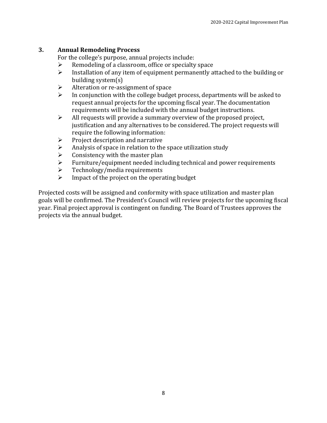## **3. Annual Remodeling Process**

For the college's purpose, annual projects include:<br>  $\triangleright$  Remodeling of a classroom, office or specialty

- Example 2 Remodeling of a classroom, office or specialty space<br>  $\triangleright$  Installation of any item of equipment permanently a
- Installation of any item of equipment permanently attached to the building or building system(s)
- Alteration or re-assignment of space<br>  $\triangleright$  In conjunction with the college budge
- In conjunction with the college budget process, departments will be asked to request annual projects for the upcoming fiscal year. The documentation requirements will be included with the annual budget instructions.
- $\triangleright$  All requests will provide a summary overview of the proposed project, justification and any alternatives to be considered. The project requests will require the following information:
- $\triangleright$  Project description and narrative<br> $\triangleright$  Analysis of space in relation to the
- Analysis of space in relation to the space utilization study<br>  $\triangleright$  Consistency with the master plan
- $\geq$  Consistency with the master plan<br> $\geq$  Furniture/equipment needed incl
- Furniture/equipment needed including technical and power requirements<br>
Fechnology/media requirements
- $\geq$  Technology/media requirements<br> $\geq$  Impact of the project on the opera
- Impact of the project on the operating budget

Projected costs will be assigned and conformity with space utilization and master plan goals will be confirmed. The President's Council will review projects for the upcoming fiscal year. Final project approval is contingent on funding. The Board of Trustees approves the projects via the annual budget.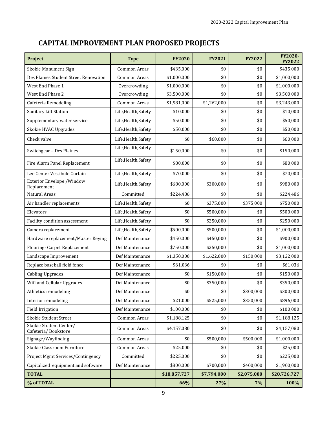# **CAPITAL IMPROVEMENT PLAN PROPOSED PROJECTS**

| Project                                         | <b>Type</b>          | <b>FY2020</b> | <b>FY2021</b> | <b>FY2022</b> | FY2020-<br><b>FY2022</b> |
|-------------------------------------------------|----------------------|---------------|---------------|---------------|--------------------------|
| Skokie Monument Sign                            | Common Areas         | \$435,000     | \$0           | \$0           | \$435,000                |
| Des Plaines Student Street Renovation           | Common Areas         | \$1,000,000   | \$0           | \$0           | \$1,000,000              |
| West End Phase 1                                | Overcrowding         | \$1,000,000   | \$0           | \$0           | \$1,000,000              |
| West End Phase 2                                | Overcrowding         | \$3,500,000   | \$0           | \$0           | \$3,500,000              |
| Cafeteria Remodeling                            | Common Areas         | \$1,981,000   | \$1,262,000   | \$0           | \$3,243,000              |
| Sanitary Lift Station                           | Life, Health, Safety | \$10,000      | \$0           | \$0           | \$10,000                 |
| Supplementary water service                     | Life, Health, Safety | \$50,000      | \$0           | \$0           | \$50,000                 |
| Skokie HVAC Upgrades                            | Life, Health, Safety | \$50,000      | \$0           | \$0           | \$50,000                 |
| Check valve                                     | Life, Health, Safety | \$0           | \$60,000      | \$0           | \$60,000                 |
| Switchgear - Des Plaines                        | Life, Health, Safety | \$150,000     | \$0           | \$0           | \$150,000                |
| Fire Alarm Panel Replacement                    | Life, Health, Safety | \$80,000      | \$0           | \$0           | \$80,000                 |
| Lee Center Vestibule Curtain                    | Life, Health, Safety | \$70,000      | \$0           | \$0           | \$70,000                 |
| <b>Exterior Envelope /Window</b><br>Replacement | Life, Health, Safety | \$680,000     | \$300,000     | \$0           | \$980,000                |
| Natural Areas                                   | Committed            | \$224,486     | \$0           | \$0           | \$224,486                |
| Air handler replacements                        | Life, Health, Safety | \$0           | \$375,000     | \$375,000     | \$750,000                |
| Elevators                                       | Life, Health, Safety | \$0           | \$500,000     | \$0           | \$500,000                |
| Facility condition assessment                   | Life, Health, Safety | \$0           | \$250,000     | \$0           | \$250,000                |
| Camera replacement                              | Life, Health, Safety | \$500,000     | \$500,000     | \$0           | \$1,000,000              |
| Hardware replacement/Master Keying              | Def Maintenance      | \$450,000     | \$450,000     | \$0           | \$900,000                |
| Flooring- Carpet Replacement                    | Def Maintenance      | \$750,000     | \$250,000     | \$0           | \$1,000,000              |
| Landscape Improvement                           | Def Maintenance      | \$1,350,000   | \$1,622,000   | \$150,000     | \$3,122,000              |
| Replace baseball field fence                    | Def Maintenance      | \$61,036      | \$0           | \$0           | \$61,036                 |
| <b>Cabling Upgrades</b>                         | Def Maintenance      | \$0           | \$150,000     | \$0           | \$150,000                |
| Wifi and Cellular Upgrades                      | Def Maintenance      | \$0           | \$350,000     | \$0           | \$350,000                |
| Athletics remodeling                            | Def Maintenance      | $\$0$         | \$0           | \$300,000     | \$300,000                |
| Interior remodeling                             | Def Maintenance      | \$21,000      | \$525,000     | \$350,000     | \$896,000                |
| <b>Field Irrigation</b>                         | Def Maintenance      | \$100,000     | \$0           | \$0           | \$100,000                |
| Skokie Student Street                           | Common Areas         | \$1,188,125   | \$0           | \$0           | \$1,188,125              |
| Skokie Student Center/<br>Cafeteria/Bookstore   | Common Areas         | \$4,157,080   | \$0           | \$0           | \$4,157,080              |
| Signage/Wayfinding                              | Common Areas         | \$0           | \$500,000     | \$500,000     | \$1,000,000              |
| Skokie Classroom Furniture                      | Common Areas         | \$25,000      | \$0           | \$0           | \$25,000                 |
| Project Mgmt Services/Contingency               | Committed            | \$225,000     | \$0           | \$0           | \$225,000                |
| Capitalized equipment and software              | Def Maintenance      | \$800,000     | \$700,000     | \$400,000     | \$1,900,000              |
| <b>TOTAL</b>                                    |                      | \$18,857,727  | \$7,794,000   | \$2,075,000   | \$28,726,727             |
| % of TOTAL                                      |                      | 66%           | 27%           | 7%            | 100%                     |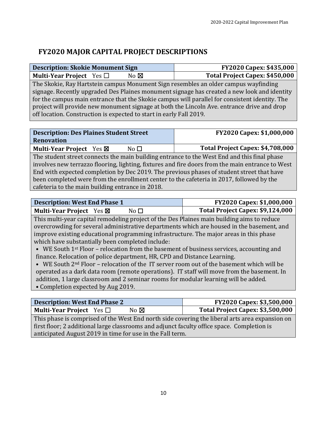# **FY2020 MAJOR CAPITAL PROJECT DESCRIPTIONS**

| <b>Description: Skokie Monument Sign</b>                                                       | <b>FY2020 Capex: \$435,000</b> |  |  |
|------------------------------------------------------------------------------------------------|--------------------------------|--|--|
| <b>Multi-Year Project</b> Yes $\Box$<br>$No \boxtimes$                                         | Total Project Capex: \$450,000 |  |  |
| The Skokie, Ray Hartstein campus Monument Sign resembles an older campus wayfinding            |                                |  |  |
| signage. Recently upgraded Des Plaines monument signage has created a new look and identity    |                                |  |  |
| for the campus main entrance that the Skokie campus will parallel for consistent identity. The |                                |  |  |
| project will provide new monument signage at both the Lincoln Ave. entrance drive and drop     |                                |  |  |
| off location. Construction is expected to start in early Fall 2019.                            |                                |  |  |

| <b>Description: Des Plaines Student Street</b><br><b>Renovation</b>                         | <b>FY2020 Capex: \$1,000,000</b> |  |
|---------------------------------------------------------------------------------------------|----------------------------------|--|
| <b>Multi-Year Project</b> Yes $\boxtimes$<br>No □                                           | Total Project Capex: \$4,708,000 |  |
| The student street connects the main building entrance to the West End and this final phase |                                  |  |

The student street connects the main building entrance to the West End and this final phase involves new terrazzo flooring, lighting, fixtures and fire doors from the main entrance to West End with expected completion by Dec 2019. The previous phases of student street that have been completed were from the enrollment center to the cafeteria in 2017, followed by the cafeteria to the main building entrance in 2018.

| <b>Description: West End Phase 1</b>              | <b>FY2020 Capex: \$1,000,000</b> |
|---------------------------------------------------|----------------------------------|
| <b>Multi-Year Project</b> Yes $\boxtimes$<br>No □ | Total Project Capex: \$9,124,000 |

This multi-year capital remodeling project of the Des Plaines main building aims to reduce overcrowding for several administrative departments which are housed in the basement, and improve existing educational programming infrastructure. The major areas in this phase which have substantially been completed include:

• WE South 1<sup>st</sup> Floor - relocation from the basement of business services, accounting and finance. Relocation of police department, HR, CPD and Distance Learning.

• WE South 2<sup>nd</sup> Floor – relocation of the IT server room out of the basement which will be operated as a dark data room (remote operations). IT staff will move from the basement. In addition, 1 large classroom and 2 seminar rooms for modular learning will be added. • Completion expected by Aug 2019.

| <b>Description: West End Phase 2</b>                                                           | <b>FY2020 Capex: \$3,500,000</b> |  |  |
|------------------------------------------------------------------------------------------------|----------------------------------|--|--|
| <b>Multi-Year Project</b> Yes $\Box$<br>No $\boxtimes$                                         | Total Project Capex: \$3,500,000 |  |  |
| This phase is comprised of the West End north side covering the liberal arts area expansion on |                                  |  |  |
| first floor; 2 additional large classrooms and adjunct faculty office space. Completion is     |                                  |  |  |
| anticipated August 2019 in time for use in the Fall term.                                      |                                  |  |  |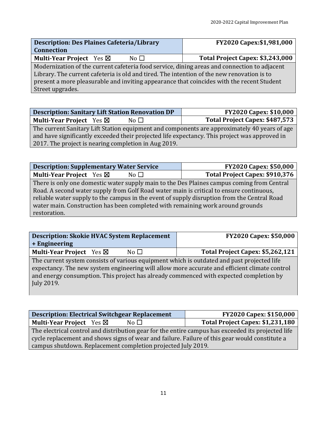| <b>Description: Des Plaines Cafeteria/Library</b>                                            | FY2020 Capex:\$1,981,000         |  |  |
|----------------------------------------------------------------------------------------------|----------------------------------|--|--|
| <b>Connection</b>                                                                            |                                  |  |  |
| <b>Multi-Year Project</b> Yes $\boxtimes$<br>No $\Box$                                       | Total Project Capex: \$3,243,000 |  |  |
| Modernization of the current cafeteria food service, dining areas and connection to adjacent |                                  |  |  |
| Library. The current cafeteria is old and tired. The intention of the new renovation is to   |                                  |  |  |
| present a more pleasurable and inviting appearance that coincides with the recent Student    |                                  |  |  |
| Street upgrades.                                                                             |                                  |  |  |

| <b>Description: Sanitary Lift Station Renovation DP</b>                                       | <b>FY2020 Capex: \$10,000</b>  |  |  |
|-----------------------------------------------------------------------------------------------|--------------------------------|--|--|
| <b>Multi-Year Project</b> Yes $\boxtimes$<br>No $\square$                                     | Total Project Capex: \$487,573 |  |  |
| The current Sanitary Lift Station equipment and components are approximately 40 years of age  |                                |  |  |
| and have significantly exceeded their projected life expectancy. This project was approved in |                                |  |  |
| 2017. The project is nearing completion in Aug 2019.                                          |                                |  |  |

| <b>Description: Supplementary Water Service</b>                                             | <b>FY2020 Capex: \$50,000</b>  |  |  |
|---------------------------------------------------------------------------------------------|--------------------------------|--|--|
| <b>Multi-Year Project</b> Yes $\boxtimes$<br>No <sub>1</sub>                                | Total Project Capex: \$910,376 |  |  |
| There is only one domestic water supply main to the Des Plaines campus coming from Central  |                                |  |  |
| Road. A second water supply from Golf Road water main is critical to ensure continuous,     |                                |  |  |
| reliable water supply to the campus in the event of supply disruption from the Central Road |                                |  |  |
| water main. Construction has been completed with remaining work around grounds              |                                |  |  |
| restoration.                                                                                |                                |  |  |

| <b>Description: Skokie HVAC System Replacement</b>                                         | <b>FY2020 Capex: \$50,000</b>    |  |
|--------------------------------------------------------------------------------------------|----------------------------------|--|
| + Engineering                                                                              |                                  |  |
| <b>Multi-Year Project</b> Yes $\boxtimes$<br>No $\Box$                                     | Total Project Capex: \$5,262,121 |  |
| The current system consists of various equipment which is outdated and nast projected life |                                  |  |

The current system consists of various equipment which is outdated and past projected life expectancy. The new system engineering will allow more accurate and efficient climate control and energy consumption. This project has already commenced with expected completion by July 2019.

| <b>Description: Electrical Switchgear Replacement</b>                                              | <b>FY2020 Capex: \$150,000</b>   |  |  |
|----------------------------------------------------------------------------------------------------|----------------------------------|--|--|
| <b>Multi-Year Project</b> Yes $\boxtimes$<br>No $\Box$                                             | Total Project Capex: \$1,231,180 |  |  |
| The electrical control and distribution gear for the entire campus has exceeded its projected life |                                  |  |  |
| cycle replacement and shows signs of wear and failure. Failure of this gear would constitute a     |                                  |  |  |
| campus shutdown. Replacement completion projected July 2019.                                       |                                  |  |  |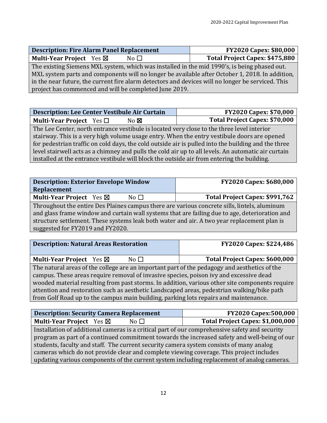| <b>Description: Fire Alarm Panel Replacement</b>                                                  | <b>FY2020 Capex: \$80,000</b>  |  |  |
|---------------------------------------------------------------------------------------------------|--------------------------------|--|--|
| <b>Multi-Year Project</b> Yes $\boxtimes$<br>No $\Box$                                            | Total Project Capex: \$475,880 |  |  |
| The existing Siemens MXL system, which was installed in the mid 1990's, is being phased out.      |                                |  |  |
| MXL system parts and components will no longer be available after October 1, 2018. In addition,   |                                |  |  |
| in the near future, the current fire alarm detectors and devices will no longer be serviced. This |                                |  |  |
| project has commenced and will be completed June 2019.                                            |                                |  |  |

| Description: Lee Center Vestibule Air Curtain                                              | <b>FY2020 Capex: \$70,000</b> |  |  |
|--------------------------------------------------------------------------------------------|-------------------------------|--|--|
| <b>Multi-Year Project</b> Yes $\Box$<br>$No \boxtimes$                                     | Total Project Capex: \$70,000 |  |  |
| The Lee Center, north entrance vestibule is located very close to the three level interior |                               |  |  |

stairway. This is a very high volume usage entry. When the entry vestibule doors are opened for pedestrian traffic on cold days, the cold outside air is pulled into the building and the three level stairwell acts as a chimney and pulls the cold air up to all levels. An automatic air curtain installed at the entrance vestibule will block the outside air from entering the building.

| <b>Description: Exterior Envelope Window</b><br><b>Replacement</b>                             | <b>FY2020 Capex: \$680,000</b> |  |  |
|------------------------------------------------------------------------------------------------|--------------------------------|--|--|
| <b>Multi-Year Project</b> Yes $\boxtimes$<br>No $\Box$                                         | Total Project Capex: \$991,762 |  |  |
| Throughout the entire Des Plaines campus there are various concrete sills, lintels, aluminum   |                                |  |  |
| and glass frame window and curtain wall systems that are failing due to age, deterioration and |                                |  |  |

and glass frame window and curtain wall systems that are failing due to age, deterioration and structure settlement. These systems leak both water and air. A two year replacement plan is suggested for FY2019 and FY2020.

| <b>Description: Natural Areas Restoration</b>                                                                                                                                                                      | <b>FY2020 Capex: \$224,486</b> |  |  |
|--------------------------------------------------------------------------------------------------------------------------------------------------------------------------------------------------------------------|--------------------------------|--|--|
| <b>Multi-Year Project</b> Yes $\boxtimes$<br>No <sub>1</sub>                                                                                                                                                       | Total Project Capex: \$600,000 |  |  |
| The natural areas of the college are an important part of the pedagogy and aesthetics of the<br>. In the complete state of the contract of the contract of the contract of the contract of $\mathbf{d}_\text{tot}$ |                                |  |  |

campus. These areas require removal of invasive species, poison ivy and excessive dead wooded material resulting from past storms. In addition, various other site components require attention and restoration such as aesthetic Landscaped areas, pedestrian walking/bike path from Golf Road up to the campus main building, parking lots repairs and maintenance.

| <b>Description: Security Camera Replacement</b>                                                | FY2020 Capex:500,000             |  |  |
|------------------------------------------------------------------------------------------------|----------------------------------|--|--|
| <b>Multi-Year Project</b> Yes $\boxtimes$<br>No $\Box$                                         | Total Project Capex: \$1,000,000 |  |  |
| Installation of additional cameras is a critical part of our comprehensive safety and security |                                  |  |  |
| program as part of a continued commitment towards the increased safety and well-being of our   |                                  |  |  |
| students, faculty and staff. The current security camera system consists of many analog        |                                  |  |  |
| cameras which do not provide clear and complete viewing coverage. This project includes        |                                  |  |  |
| updating various components of the current system including replacement of analog cameras.     |                                  |  |  |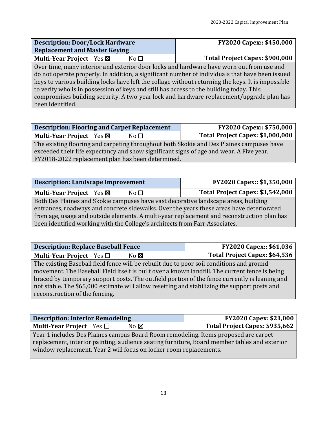| <b>Description: Door/Lock Hardware</b><br><b>Replacement and Master Keying</b>                    | <b>FY2020 Capex:: \$450,000</b> |  |
|---------------------------------------------------------------------------------------------------|---------------------------------|--|
| Multi-Year Project Yes ⊠<br>No $\square$                                                          | Total Project Capex: \$900,000  |  |
| Over time, many interior and exterior door locks and hardware have worn out from use and          |                                 |  |
| do not operate properly. In addition, a significant number of individuals that have been issued   |                                 |  |
| keys to various building locks have left the collage without returning the keys. It is impossible |                                 |  |
| to verify who is in possession of keys and still has access to the building today. This           |                                 |  |
| compromises building security. A two-year lock and hardware replacement/upgrade plan has          |                                 |  |
| been identified.                                                                                  |                                 |  |

| <b>Description: Flooring and Carpet Replacement</b>                                      | <b>FY2020 Capex:: \$750,000</b>  |  |
|------------------------------------------------------------------------------------------|----------------------------------|--|
| <b>Multi-Year Project</b> Yes $\boxtimes$<br>No $\Box$                                   | Total Project Capex: \$1,000,000 |  |
| The existing flooring and carpeting throughout both Skokie and Des Plaines campuses have |                                  |  |
| exceeded their life expectancy and show significant signs of age and wear. A Five year,  |                                  |  |
| FY2018-2022 replacement plan has been determined.                                        |                                  |  |

| <b>Description: Landscape Improvement</b>                                                  | FY2020 Capex:: \$1,350,000       |  |
|--------------------------------------------------------------------------------------------|----------------------------------|--|
| <b>Multi-Year Project</b> Yes $\boxtimes$<br>No $\square$                                  | Total Project Capex: \$3,542,000 |  |
| Both Des Plaines and Skokie campuses have vast decorative landscape areas, building        |                                  |  |
| entrances, roadways and concrete sidewalks. Over the years these areas have deteriorated   |                                  |  |
| from age, usage and outside elements. A multi-year replacement and reconstruction plan has |                                  |  |
| been identified working with the College's architects from Farr Associates.                |                                  |  |

| <b>Description: Replace Baseball Fence</b>                                                     | <b>FY2020 Capex:: \$61,036</b> |  |
|------------------------------------------------------------------------------------------------|--------------------------------|--|
| <b>Multi-Year Project</b> Yes $\Box$<br>$No$ $\boxtimes$                                       | Total Project Capex: \$64,536  |  |
| The existing Baseball field fence will be rebuilt due to poor soil conditions and ground       |                                |  |
| movement. The Baseball Field itself is built over a known landfill. The current fence is being |                                |  |
| braced by temporary support posts. The outfield portion of the fence currently is leaning and  |                                |  |
| not stable. The \$65,000 estimate will allow resetting and stabilizing the support posts and   |                                |  |
| reconstruction of the fencing.                                                                 |                                |  |

| <b>FY2020 Capex: \$21,000</b>                                                                |  |  |  |
|----------------------------------------------------------------------------------------------|--|--|--|
| Total Project Capex: \$935,662                                                               |  |  |  |
| Year 1 includes Des Plaines campus Board Room remodeling. Items proposed are carpet          |  |  |  |
| replacement, interior painting, audience seating furniture, Board member tables and exterior |  |  |  |
| window replacement. Year 2 will focus on locker room replacements.                           |  |  |  |
|                                                                                              |  |  |  |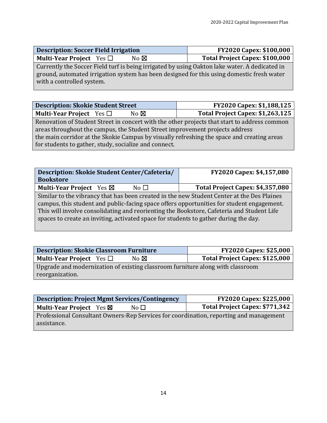| <b>Description: Soccer Field Irrigation</b> |  |                | <b>FY2020 Capex: \$100,000</b> |                                |
|---------------------------------------------|--|----------------|--------------------------------|--------------------------------|
| <b>Multi-Year Project</b> Yes $\Box$        |  | No $\boxtimes$ |                                | Total Project Capex: \$100,000 |

Currently the Soccer Field turf is being irrigated by using Oakton lake water. A dedicated in ground, automated irrigation system has been designed for this using domestic fresh water with a controlled system.

| <b>Description: Skokie Student Street</b>                                                    | FY2020 Capex: \$1,188,125        |  |  |
|----------------------------------------------------------------------------------------------|----------------------------------|--|--|
| <b>Multi-Year Project</b> Yes $\Box$<br>No $\boxtimes$                                       | Total Project Capex: \$1,263,125 |  |  |
| Renovation of Student Street in concert with the other projects that start to address common |                                  |  |  |
| areas throughout the campus, the Student Street improvement projects address                 |                                  |  |  |

the main corridor at the Skokie Campus by visually refreshing the space and creating areas for students to gather, study, socialize and connect.

| Description: Skokie Student Center/Cafeteria/                                              |           | FY2020 Capex: \$4,157,080        |  |
|--------------------------------------------------------------------------------------------|-----------|----------------------------------|--|
| <b>Bookstore</b>                                                                           |           |                                  |  |
| <b>Multi-Year Project</b> Yes $\boxtimes$                                                  | No $\Box$ | Total Project Capex: \$4,357,080 |  |
| Similar to the vibrancy that has been created in the new Student Center at the Des Plaines |           |                                  |  |
| campus, this student and public-facing space offers opportunities for student engagement.  |           |                                  |  |
| This will involve consolidating and reorienting the Bookstore, Cafeteria and Student Life  |           |                                  |  |
| spaces to create an inviting, activated space for students to gather during the day.       |           |                                  |  |
|                                                                                            |           |                                  |  |

| <b>Description: Skokie Classroom Furniture</b>                                 | <b>FY2020 Capex: \$25,000</b>  |  |  |  |  |
|--------------------------------------------------------------------------------|--------------------------------|--|--|--|--|
| <b>Multi-Year Project</b> Yes $\Box$<br>No $\boxtimes$                         | Total Project Capex: \$125,000 |  |  |  |  |
| Upgrade and modernization of existing classroom furniture along with classroom |                                |  |  |  |  |
| reorganization.                                                                |                                |  |  |  |  |

| <b>Description: Project Mgmt Services/Contingency</b>                                  | <b>FY2020 Capex: \$225,000</b> |  |  |  |  |
|----------------------------------------------------------------------------------------|--------------------------------|--|--|--|--|
| <b>Multi-Year Project</b> Yes $\boxtimes$<br>No $\square$                              | Total Project Capex: \$771,342 |  |  |  |  |
| Professional Consultant Owners-Rep Services for coordination, reporting and management |                                |  |  |  |  |
| assistance.                                                                            |                                |  |  |  |  |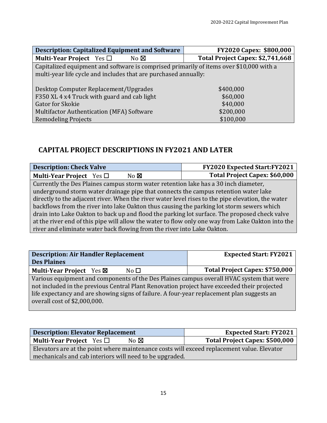| <b>Description: Capitalized Equipment and Software</b>                                  |                | <b>FY2020 Capex: \$800,000</b>   |  |  |  |
|-----------------------------------------------------------------------------------------|----------------|----------------------------------|--|--|--|
| <b>Multi-Year Project</b> Yes $\Box$                                                    | $No \boxtimes$ | Total Project Capex: \$2,741,668 |  |  |  |
| Capitalized equipment and software is comprised primarily of items over \$10,000 with a |                |                                  |  |  |  |
| multi-year life cycle and includes that are purchased annually:                         |                |                                  |  |  |  |
|                                                                                         |                |                                  |  |  |  |
| Desktop Computer Replacement/Upgrades                                                   | \$400,000      |                                  |  |  |  |
| F350 XL 4 x4 Truck with guard and cab light                                             |                | \$60,000                         |  |  |  |
| Gator for Skokie                                                                        | \$40,000       |                                  |  |  |  |
| Multifactor Authentication (MFA) Software                                               | \$200,000      |                                  |  |  |  |
| <b>Remodeling Projects</b>                                                              | \$100,000      |                                  |  |  |  |

# **CAPITAL PROJECT DESCRIPTIONS IN FY2021 AND LATER**

| <b>Description: Check Valve</b>                                                                   | FY2020 Expected Start:FY2021         |  |  |  |
|---------------------------------------------------------------------------------------------------|--------------------------------------|--|--|--|
| Multi-Year Project Yes $\square$<br>$No \boxtimes$                                                | <b>Total Project Capex: \$60,000</b> |  |  |  |
| Currently the Des Plaines campus storm water retention lake has a 30 inch diameter,               |                                      |  |  |  |
| underground storm water drainage pipe that connects the campus retention water lake               |                                      |  |  |  |
| directly to the adjacent river. When the river water level rises to the pipe elevation, the water |                                      |  |  |  |
| backflows from the river into lake Oakton thus causing the parking lot storm sewers which         |                                      |  |  |  |
| drain into Lake Oakton to back up and flood the parking lot surface. The proposed check valve     |                                      |  |  |  |
| at the river end of this pipe will allow the water to flow only one way from Lake Oakton into the |                                      |  |  |  |
| river and eliminate water back flowing from the river into Lake Oakton.                           |                                      |  |  |  |

| <b>Description: Air Handler Replacement</b><br><b>Des Plaines</b>                                                                                                                                                                                                                                                     | <b>Expected Start: FY2021</b>  |  |  |
|-----------------------------------------------------------------------------------------------------------------------------------------------------------------------------------------------------------------------------------------------------------------------------------------------------------------------|--------------------------------|--|--|
| <b>Multi-Year Project</b> Yes $\boxtimes$<br>No <sub>1</sub>                                                                                                                                                                                                                                                          | Total Project Capex: \$750,000 |  |  |
| Various equipment and components of the Des Plaines campus overall HVAC system that were<br>not included in the previous Central Plant Renovation project have exceeded their projected<br>life expectancy and are showing signs of failure. A four-year replacement plan suggests an<br>overall cost of \$2,000,000. |                                |  |  |

| <b>Description: Elevator Replacement</b>                                                   | <b>Expected Start: FY2021</b>  |  |  |  |
|--------------------------------------------------------------------------------------------|--------------------------------|--|--|--|
| <b>Multi-Year Project</b> Yes $\Box$<br>$No \boxtimes$                                     | Total Project Capex: \$500,000 |  |  |  |
| Elevators are at the point where maintenance costs will exceed replacement value. Elevator |                                |  |  |  |
| mechanicals and cab interiors will need to be upgraded.                                    |                                |  |  |  |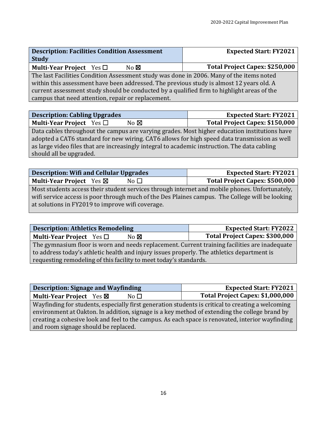| <b>Description: Facilities Condition Assessment</b>                                        |                | <b>Expected Start: FY2021</b> |                                |  |
|--------------------------------------------------------------------------------------------|----------------|-------------------------------|--------------------------------|--|
| <b>Study</b>                                                                               |                |                               |                                |  |
| <b>Multi-Year Project</b> Yes $\Box$                                                       | No $\boxtimes$ |                               | Total Project Capex: \$250,000 |  |
| The last Facilities Condition Assessment study was done in 2006. Many of the items noted   |                |                               |                                |  |
| within this assessment have been addressed. The previous study is almost 12 years old. A   |                |                               |                                |  |
| current assessment study should be conducted by a qualified firm to highlight areas of the |                |                               |                                |  |
| campus that need attention, repair or replacement.                                         |                |                               |                                |  |

**Description: Cabling Upgrades Expected Start: FY2021** 

**Multi-Year Project** Yes ☐No ☒ **Total Project Capex: \$150,000** Data cables throughout the campus are varying grades. Most higher education institutions have adopted a CAT6 standard for new wiring. CAT6 allows for high speed data transmission as well as large video files that are increasingly integral to academic instruction. The data cabling should all be upgraded.

| <b>Description: Wifi and Cellular Upgrades</b>                                                  | <b>Expected Start: FY2021</b>  |  |  |  |
|-------------------------------------------------------------------------------------------------|--------------------------------|--|--|--|
| <b>Multi-Year Project</b> Yes $\boxtimes$<br>No $\square$                                       | Total Project Capex: \$500,000 |  |  |  |
| Most students access their student services through internet and mobile phones. Unfortunately,  |                                |  |  |  |
| wifi service access is poor through much of the Des Plaines campus. The College will be looking |                                |  |  |  |
| at solutions in FY2019 to improve wifi coverage.                                                |                                |  |  |  |

| <b>Description: Athletics Remodeling</b>                                                      | <b>Expected Start: FY2022</b>  |  |  |  |
|-----------------------------------------------------------------------------------------------|--------------------------------|--|--|--|
| <b>Multi-Year Project</b> Yes $\Box$<br>$No \boxtimes$                                        | Total Project Capex: \$300,000 |  |  |  |
| The gymnasium floor is worn and needs replacement. Current training facilities are inadequate |                                |  |  |  |
| to address today's athletic health and injury issues properly. The athletics department is    |                                |  |  |  |
| requesting remodeling of this facility to meet today's standards.                             |                                |  |  |  |

| Description: Signage and Wayfinding                                                               | <b>Expected Start: FY2021</b>    |  |  |  |
|---------------------------------------------------------------------------------------------------|----------------------------------|--|--|--|
| <b>Multi-Year Project</b> Yes $\boxtimes$<br>No $\Box$                                            | Total Project Capex: \$1,000,000 |  |  |  |
| Wayfinding for students, especially first generation students is critical to creating a welcoming |                                  |  |  |  |
| environment at Oakton. In addition, signage is a key method of extending the college brand by     |                                  |  |  |  |
| creating a cohesive look and feel to the campus. As each space is renovated, interior wayfinding  |                                  |  |  |  |
| and room signage should be replaced.                                                              |                                  |  |  |  |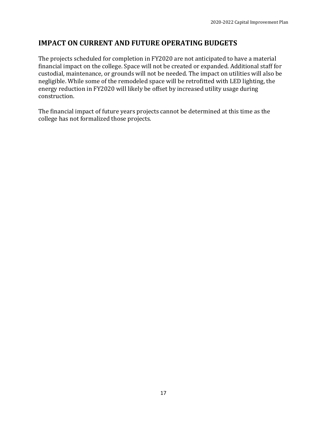# **IMPACT ON CURRENT AND FUTURE OPERATING BUDGETS**

The projects scheduled for completion in FY2020 are not anticipated to have a material financial impact on the college. Space will not be created or expanded. Additional staff for custodial, maintenance, or grounds will not be needed. The impact on utilities will also be negligible. While some of the remodeled space will be retrofitted with LED lighting, the energy reduction in FY2020 will likely be offset by increased utility usage during construction.

The financial impact of future years projects cannot be determined at this time as the college has not formalized those projects.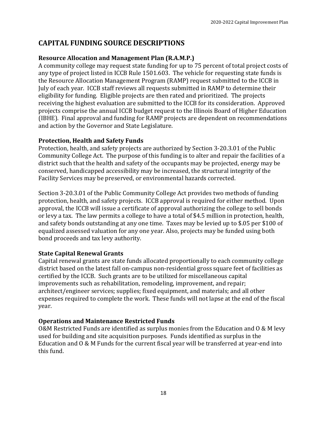# **CAPITAL FUNDING SOURCE DESCRIPTIONS**

## **Resource Allocation and Management Plan (R.A.M.P.)**

A community college may request state funding for up to 75 percent of total project costs of any type of project listed in ICCB Rule 1501.603. The vehicle for requesting state funds is the Resource Allocation Management Program (RAMP) request submitted to the ICCB in July of each year. ICCB staff reviews all requests submitted in RAMP to determine their eligibility for funding. Eligible projects are then rated and prioritized. The projects receiving the highest evaluation are submitted to the ICCB for its consideration. Approved projects comprise the annual ICCB budget request to the Illinois Board of Higher Education (IBHE). Final approval and funding for RAMP projects are dependent on recommendations and action by the Governor and State Legislature.

## **Protection, Health and Safety Funds**

Protection, health, and safety projects are authorized by Section 3-20.3.01 of the Public Community College Act. The purpose of this funding is to alter and repair the facilities of a district such that the health and safety of the occupants may be projected, energy may be conserved, handicapped accessibility may be increased, the structural integrity of the Facility Services may be preserved, or environmental hazards corrected.

Section 3-20.3.01 of the Public Community College Act provides two methods of funding protection, health, and safety projects. ICCB approval is required for either method. Upon approval, the ICCB will issue a certificate of approval authorizing the college to sell bonds or levy a tax. The law permits a college to have a total of \$4.5 million in protection, health, and safety bonds outstanding at any one time. Taxes may be levied up to \$.05 per \$100 of equalized assessed valuation for any one year. Also, projects may be funded using both bond proceeds and tax levy authority.

## **State Capital Renewal Grants**

Capital renewal grants are state funds allocated proportionally to each community college district based on the latest fall on-campus non-residential gross square feet of facilities as certified by the ICCB. Such grants are to be utilized for miscellaneous capital improvements such as rehabilitation, remodeling, improvement, and repair; architect/engineer services; supplies; fixed equipment, and materials; and all other expenses required to complete the work. These funds will not lapse at the end of the fiscal year.

## **Operations and Maintenance Restricted Funds**

O&M Restricted Funds are identified as surplus monies from the Education and  $\theta \& M$  levy used for building and site acquisition purposes. Funds identified as surplus in the Education and O & M Funds for the current fiscal year will be transferred at year-end into this fund.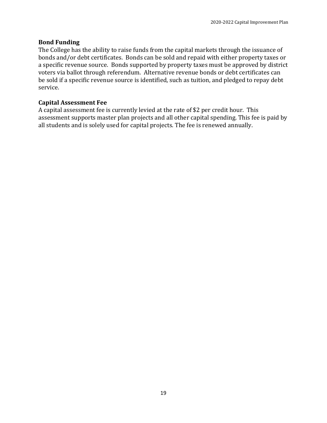#### **Bond Funding**

The College has the ability to raise funds from the capital markets through the issuance of bonds and/or debt certificates. Bonds can be sold and repaid with either property taxes or a specific revenue source. Bonds supported by property taxes must be approved by district voters via ballot through referendum. Alternative revenue bonds or debt certificates can be sold if a specific revenue source is identified, such as tuition, and pledged to repay debt service.

## **Capital Assessment Fee**

A capital assessment fee is currently levied at the rate of \$2 per credit hour. This assessment supports master plan projects and all other capital spending. This fee is paid by all students and is solely used for capital projects. The fee is renewed annually.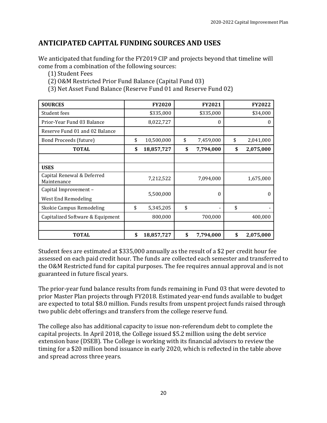# **ANTICIPATED CAPITAL FUNDING SOURCES AND USES**

We anticipated that funding for the FY2019 CIP and projects beyond that timeline will come from a combination of the following sources:

(1) Student Fees

(2) O&M Restricted Prior Fund Balance (Capital Fund 03)

(3) Net Asset Fund Balance (Reserve Fund 01 and Reserve Fund 02)

| <b>SOURCES</b>                            | <b>FY2020</b>    | <b>FY2021</b>   | <b>FY2022</b>   |
|-------------------------------------------|------------------|-----------------|-----------------|
| Student fees                              | \$335,000        | \$335,000       | \$34,000        |
| Prior-Year Fund 03 Balance                | 8,022,727        | $\theta$        | $\Omega$        |
| Reserve Fund 01 and 02 Balance            |                  |                 |                 |
| Bond Proceeds (future)                    | \$<br>10,500,000 | \$<br>7,459,000 | \$<br>2,041,000 |
| <b>TOTAL</b>                              | \$<br>18,857,727 | \$<br>7,794,000 | \$<br>2,075,000 |
|                                           |                  |                 |                 |
| <b>USES</b>                               |                  |                 |                 |
| Capital Renewal & Deferred<br>Maintenance | 7,212,522        | 7,094,000       | 1,675,000       |
| Capital Improvement -                     |                  | $\theta$        | $\Omega$        |
| West End Remodeling                       | 5,500,000        |                 |                 |
| Skokie Campus Remodeling                  | \$<br>5,345,205  | \$              | \$              |
| Capitalized Software & Equipment          | 800,000          | 700,000         | 400,000         |
|                                           |                  |                 |                 |
| <b>TOTAL</b>                              | \$<br>18,857,727 | \$<br>7,794,000 | \$<br>2,075,000 |

Student fees are estimated at \$335,000 annually as the result of a \$2 per credit hour fee assessed on each paid credit hour. The funds are collected each semester and transferred to the O&M Restricted fund for capital purposes. The fee requires annual approval and is not guaranteed in future fiscal years.

The prior-year fund balance results from funds remaining in Fund 03 that were devoted to prior Master Plan projects through FY2018. Estimated year-end funds available to budget are expected to total \$8.0 million. Funds results from unspent project funds raised through two public debt offerings and transfers from the college reserve fund.

The college also has additional capacity to issue non-referendum debt to complete the capital projects. In April 2018, the College issued \$5.2 million using the debt service extension base (DSEB). The College is working with its financial advisors to review the timing for a \$20 million bond issuance in early 2020, which is reflected in the table above and spread across three years.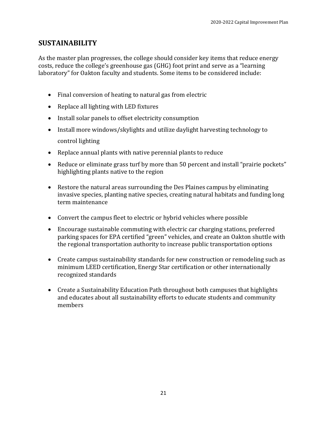## **SUSTAINABILITY**

As the master plan progresses, the college should consider key items that reduce energy costs, reduce the college's greenhouse gas (GHG) foot print and serve as a "learning laboratory" for Oakton faculty and students. Some items to be considered include:

- Final conversion of heating to natural gas from electric
- Replace all lighting with LED fixtures
- Install solar panels to offset electricity consumption
- Install more windows/skylights and utilize daylight harvesting technology to control lighting
- Replace annual plants with native perennial plants to reduce
- Reduce or eliminate grass turf by more than 50 percent and install "prairie pockets" highlighting plants native to the region
- Restore the natural areas surrounding the Des Plaines campus by eliminating invasive species, planting native species, creating natural habitats and funding long term maintenance
- Convert the campus fleet to electric or hybrid vehicles where possible
- Encourage sustainable commuting with electric car charging stations, preferred parking spaces for EPA certified "green" vehicles, and create an Oakton shuttle with the regional transportation authority to increase public transportation options
- Create campus sustainability standards for new construction or remodeling such as minimum LEED certification, Energy Star certification or other internationally recognized standards
- Create a Sustainability Education Path throughout both campuses that highlights and educates about all sustainability efforts to educate students and community members